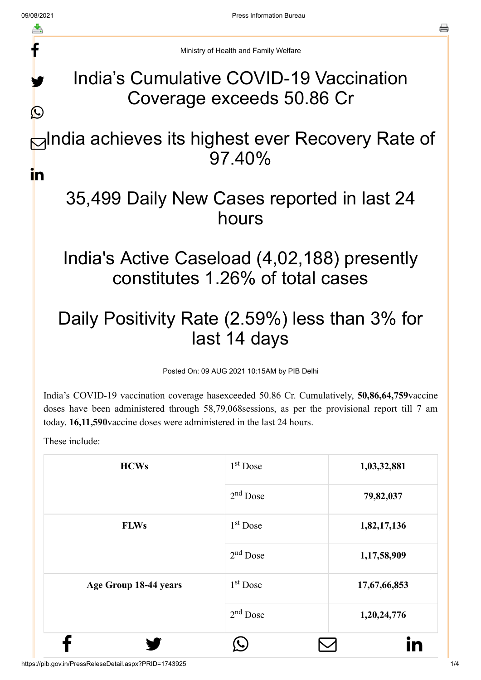f

y.

 $\bigcirc$ 

Ministry of Health and Family Welfare

## India's Cumulative COVID-19 Vaccination Coverage exceeds 50.86 Cr

#### **⊟**India achieves its highest ever Recovery Rate of 97.40% in

# 35,499 Daily New Cases reported in last 24 hours

## India's Active Caseload (4,02,188) presently constitutes 1.26% of total cases

## Daily Positivity Rate (2.59%) less than 3% for last 14 days

Posted On: 09 AUG 2021 10:15AM by PIB Delhi

India's COVID-19 vaccination coverage hasexceeded 50.86 Cr. Cumulatively, **50,86,64,759**vaccine doses have been administered through 58,79,068sessions, as per the provisional report till 7 am today. **16,11,590**vaccine doses were administered in the last 24 hours.

These include:

| <b>HCWs</b>           | $1st$ Dose           | 1,03,32,881  |
|-----------------------|----------------------|--------------|
|                       | $2nd$ Dose           | 79,82,037    |
| <b>FLWs</b>           | $1st$ Dose           | 1,82,17,136  |
|                       | $2nd$ Dose           | 1,17,58,909  |
| Age Group 18-44 years | 1 <sup>st</sup> Dose | 17,67,66,853 |
|                       | $2nd$ Dose           | 1,20,24,776  |
|                       |                      |              |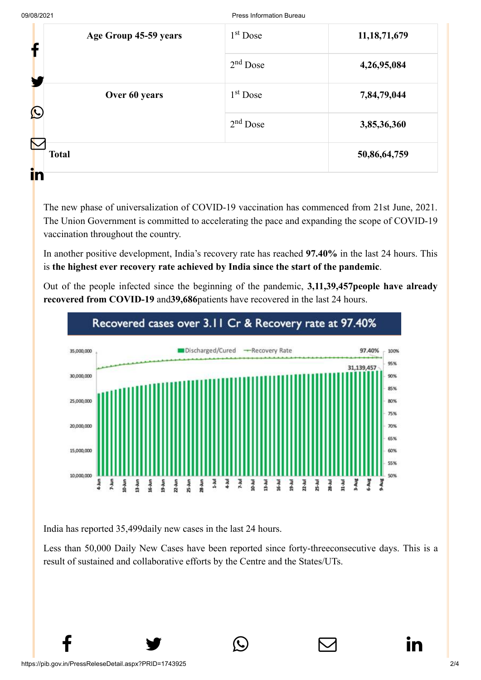| Age Group 45-59 years<br>f  | $1st$ Dose | 11, 18, 71, 679 |
|-----------------------------|------------|-----------------|
|                             | $2nd$ Dose | 4,26,95,084     |
| Over 60 years<br>$\bigcirc$ | $1st$ Dose | 7,84,79,044     |
|                             | $2nd$ Dose | 3,85,36,360     |
| <b>Total</b>                |            | 50,86,64,759    |
| i'n                         |            |                 |

The new phase of universalization of COVID-19 vaccination has commenced from 21st June, 2021. The Union Government is committed to accelerating the pace and expanding the scope of COVID-19 vaccination throughout the country.

In another positive development, India's recovery rate has reached **97.40%** in the last 24 hours. This is **the highest ever recovery rate achieved by India since the start of the pandemic**.

Out of the people infected since the beginning of the pandemic, **3,11,39,457people have already recovered from COVID-19** and**39,686**patients have recovered in the last 24 hours.



India has reported 35,499daily new cases in the last 24 hours.

Less than 50,000 Daily New Cases have been reported since forty-threeconsecutive days. This is a result of sustained and collaborative efforts by the Centre and the States/UTs.

 $f \qquad \qquad \bullet \qquad \circledcirc \qquad \qquad \circledcirc$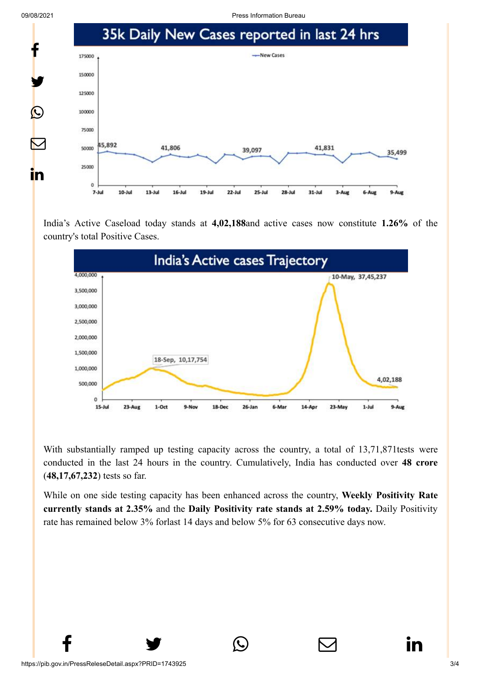09/08/2021 Press Information Bureau



India's Active Caseload today stands at **4,02,188**and active cases now constitute **1.26%** of the country's total Positive Cases.



With substantially ramped up testing capacity across the country, a total of 13,71,871tests were conducted in the last 24 hours in the country. Cumulatively, India has conducted over **48 crore** (**48,17,67,232**) tests so far.

While on one side testing capacity has been enhanced across the country, **Weekly Positivity Rate currently stands at 2.35%** and the **Daily Positivity rate stands at 2.59% today.** Daily Positivity rate has remained below 3% forlast 14 days and below 5% for 63 consecutive days now.

 $f \qquad \qquad \bullet \qquad \circlearrowright \qquad \qquad \circlearrowright \qquad \qquad \bullet$